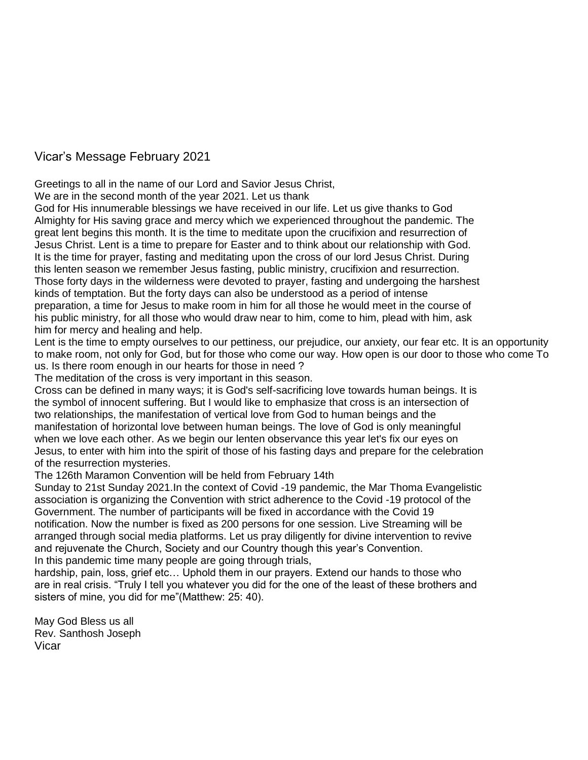## Vicar's Message February 2021

Greetings to all in the name of our Lord and Savior Jesus Christ,

We are in the second month of the year 2021. Let us thank

God for His innumerable blessings we have received in our life. Let us give thanks to God Almighty for His saving grace and mercy which we experienced throughout the pandemic. The great lent begins this month. It is the time to meditate upon the crucifixion and resurrection of Jesus Christ. Lent is a time to prepare for Easter and to think about our relationship with God. It is the time for prayer, fasting and meditating upon the cross of our lord Jesus Christ. During this lenten season we remember Jesus fasting, public ministry, crucifixion and resurrection. Those forty days in the wilderness were devoted to prayer, fasting and undergoing the harshest kinds of temptation. But the forty days can also be understood as a period of intense preparation, a time for Jesus to make room in him for all those he would meet in the course of his public ministry, for all those who would draw near to him, come to him, plead with him, ask him for mercy and healing and help.

Lent is the time to empty ourselves to our pettiness, our prejudice, our anxiety, our fear etc. It is an opportunity to make room, not only for God, but for those who come our way. How open is our door to those who come To us. Is there room enough in our hearts for those in need ?

The meditation of the cross is very important in this season.

Cross can be defined in many ways; it is God's self-sacrificing love towards human beings. It is the symbol of innocent suffering. But I would like to emphasize that cross is an intersection of two relationships, the manifestation of vertical love from God to human beings and the manifestation of horizontal love between human beings. The love of God is only meaningful when we love each other. As we begin our lenten observance this year let's fix our eyes on Jesus, to enter with him into the spirit of those of his fasting days and prepare for the celebration of the resurrection mysteries.

The 126th Maramon Convention will be held from February 14th

Sunday to 21st Sunday 2021.In the context of Covid -19 pandemic, the Mar Thoma Evangelistic association is organizing the Convention with strict adherence to the Covid -19 protocol of the Government. The number of participants will be fixed in accordance with the Covid 19 notification. Now the number is fixed as 200 persons for one session. Live Streaming will be arranged through social media platforms. Let us pray diligently for divine intervention to revive and rejuvenate the Church, Society and our Country though this year's Convention. In this pandemic time many people are going through trials,

hardship, pain, loss, grief etc... Uphold them in our prayers. Extend our hands to those who are in real crisis. "Truly I tell you whatever you did for the one of the least of these brothers and sisters of mine, you did for me"(Matthew: 25: 40).

May God Bless us all Rev. Santhosh Joseph Vicar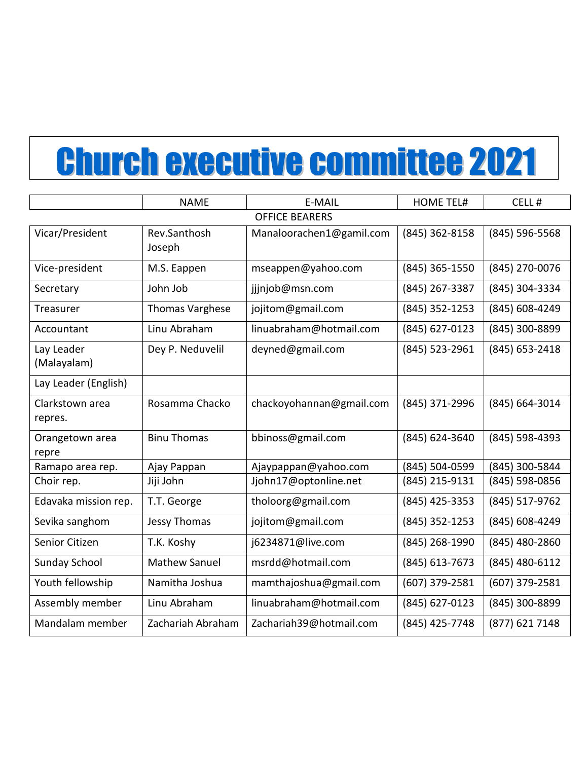# Church executive committee 2021

|                            | <b>NAME</b>            | E-MAIL                   | <b>HOME TEL#</b> | CELL#          |
|----------------------------|------------------------|--------------------------|------------------|----------------|
| <b>OFFICE BEARERS</b>      |                        |                          |                  |                |
| Vicar/President            | Rev.Santhosh<br>Joseph | Manaloorachen1@gamil.com | (845) 362-8158   | (845) 596-5568 |
| Vice-president             | M.S. Eappen            | mseappen@yahoo.com       | (845) 365-1550   | (845) 270-0076 |
| Secretary                  | John Job               | jjjnjob@msn.com          | (845) 267-3387   | (845) 304-3334 |
| Treasurer                  | <b>Thomas Varghese</b> | jojitom@gmail.com        | (845) 352-1253   | (845) 608-4249 |
| Accountant                 | Linu Abraham           | linuabraham@hotmail.com  | (845) 627-0123   | (845) 300-8899 |
| Lay Leader<br>(Malayalam)  | Dey P. Neduvelil       | deyned@gmail.com         | (845) 523-2961   | (845) 653-2418 |
| Lay Leader (English)       |                        |                          |                  |                |
| Clarkstown area<br>repres. | Rosamma Chacko         | chackoyohannan@gmail.com | (845) 371-2996   | (845) 664-3014 |
| Orangetown area<br>repre   | <b>Binu Thomas</b>     | bbinoss@gmail.com        | (845) 624-3640   | (845) 598-4393 |
| Ramapo area rep.           | Ajay Pappan            | Ajaypappan@yahoo.com     | (845) 504-0599   | (845) 300-5844 |
| Choir rep.                 | Jiji John              | Jjohn17@optonline.net    | (845) 215-9131   | (845) 598-0856 |
| Edavaka mission rep.       | T.T. George            | tholoorg@gmail.com       | (845) 425-3353   | (845) 517-9762 |
| Sevika sanghom             | <b>Jessy Thomas</b>    | jojitom@gmail.com        | (845) 352-1253   | (845) 608-4249 |
| Senior Citizen             | T.K. Koshy             | j6234871@live.com        | (845) 268-1990   | (845) 480-2860 |
| <b>Sunday School</b>       | <b>Mathew Sanuel</b>   | msrdd@hotmail.com        | (845) 613-7673   | (845) 480-6112 |
| Youth fellowship           | Namitha Joshua         | mamthajoshua@gmail.com   | (607) 379-2581   | (607) 379-2581 |
| Assembly member            | Linu Abraham           | linuabraham@hotmail.com  | (845) 627-0123   | (845) 300-8899 |
| Mandalam member            | Zachariah Abraham      | Zachariah39@hotmail.com  | (845) 425-7748   | (877) 621 7148 |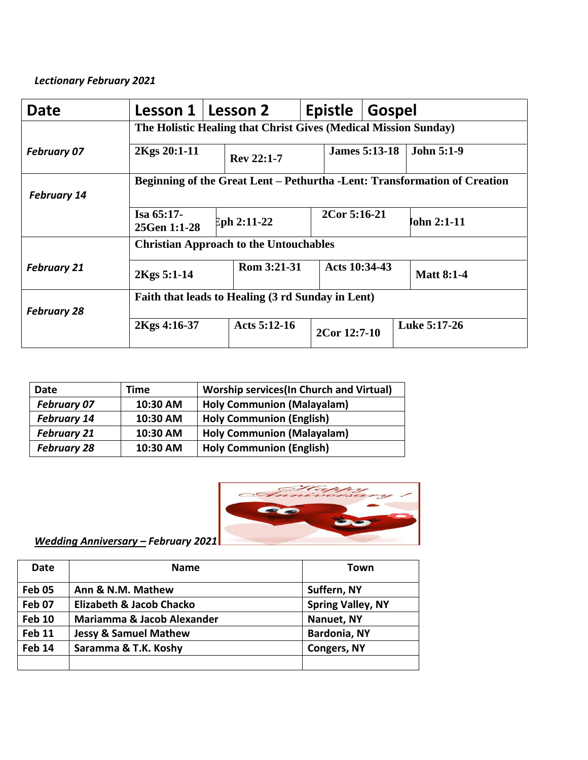## *Lectionary February 2021*

| Date               | Lesson 1                                                                         |  | Lesson 2       |  | <b>Epistle</b>               | <b>Gospel</b>        |                   |
|--------------------|----------------------------------------------------------------------------------|--|----------------|--|------------------------------|----------------------|-------------------|
|                    | The Holistic Healing that Christ Gives (Medical Mission Sunday)                  |  |                |  |                              |                      |                   |
| <b>February 07</b> | 2Kgs 20:1-11                                                                     |  | Rev 22:1-7     |  |                              | <b>James 5:13-18</b> | <b>John 5:1-9</b> |
| <b>February 14</b> | <b>Beginning of the Great Lent – Pethurtha -Lent: Transformation of Creation</b> |  |                |  |                              |                      |                   |
|                    | $Isa 65:17-$<br>25Gen 1:1-28                                                     |  | $Eph 2:11-22$  |  | 2Cor 5:16-21                 |                      | John 2:1-11       |
|                    | <b>Christian Approach to the Untouchables</b>                                    |  |                |  |                              |                      |                   |
| <b>February 21</b> | 2Kgs 5:1-14                                                                      |  | Rom 3:21-31    |  | Acts 10:34-43                |                      | <b>Matt 8:1-4</b> |
| <b>February 28</b> | Faith that leads to Healing (3 rd Sunday in Lent)                                |  |                |  |                              |                      |                   |
|                    | 2Kgs 4:16-37                                                                     |  | Acts $5:12-16$ |  | Luke 5:17-26<br>2Cor 12:7-10 |                      |                   |

| Date               | Time     | <b>Worship services (In Church and Virtual)</b> |
|--------------------|----------|-------------------------------------------------|
| <b>February 07</b> | 10:30 AM | <b>Holy Communion (Malayalam)</b>               |
| <b>February 14</b> | 10:30 AM | <b>Holy Communion (English)</b>                 |
| <b>February 21</b> | 10:30 AM | <b>Holy Communion (Malayalam)</b>               |
| <b>February 28</b> | 10:30 AM | <b>Holy Communion (English)</b>                 |



*Wedding Anniversary – February 2021*

| <b>Date</b>   | <b>Name</b>                      | Town                     |
|---------------|----------------------------------|--------------------------|
| Feb 05        | Ann & N.M. Mathew                | Suffern, NY              |
| Feb 07        | Elizabeth & Jacob Chacko         | <b>Spring Valley, NY</b> |
| <b>Feb 10</b> | Mariamma & Jacob Alexander       | Nanuet, NY               |
| <b>Feb 11</b> | <b>Jessy &amp; Samuel Mathew</b> | <b>Bardonia, NY</b>      |
| <b>Feb 14</b> | Saramma & T.K. Koshy             | <b>Congers, NY</b>       |
|               |                                  |                          |